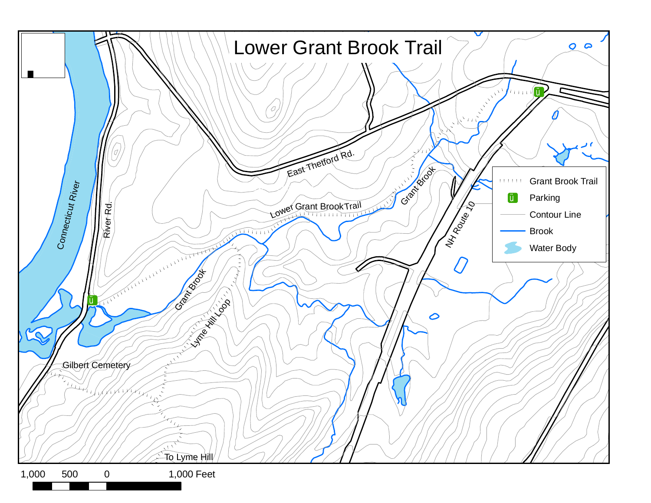